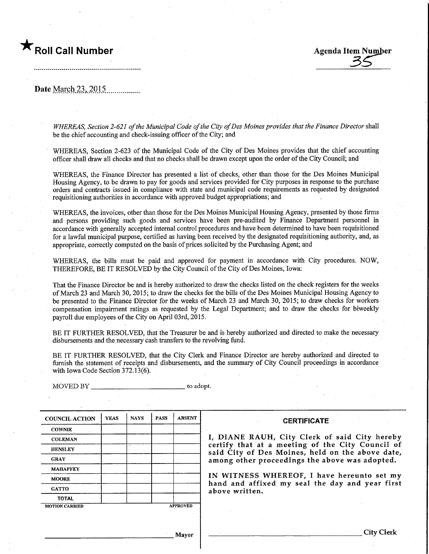

.................................

 $\frac{35}{4}$ 

Date March 23, 2015

WHEREAS, Section 2-621 of the Municipal Code of the City of Des Moines provides that the Finance Director shall be the chief accountmg and check-issuing officer of the City; and

WHEREAS, Section 2-623 of the Municipal Code of the City of Des Moines provides that the chief accounting officer shall draw all checks and that no checks shall be drawn except upon the order of the City Council; and

WHEREAS, the Finance Director has presented a list of checks, other than those for the Des Moines Municipal Housing Agency, to be drawn to pay for goods and services provided for City purposes in response to the purchase orders and contracts issued in compliance with state and municipal code requirements as requested by designated requisitioning authorities in accordance with approved budget appropriations; and

WHEREAS, the invoices, other than those for the Des Moines Municipal Housing Agency, presented by those firms and persons providing such goods and services have been pre-audited by Finance Department personnel in accordance with generally accepted internal control procedures and have been determined to have been requisitioned for a lawful municipal purpose, certified as having been received by the designated requisitioning authority, and, as appropriate, correctly computed on the basis of prices solicited by the Purchasing Agent; and

WHEREAS, the bills must be paid and approved for payment in accordance with City procedures. NOW, THEREFORE, BE IT RESOLVED by the City Council of the City of Des Moines, Iowa:

That the Finance Director be and is hereby authorized to draw the checks listed on the check registers for the weeks of March 23 and March 30, 2015; to draw the checks for the bills of the Des Moines Municipal Housing Agency to be presented to the Finance Director for the weeks of March 23 and March 30, 2015; to draw checks for workers compensation impairment ratings as requested by the Legal Department; and to draw the checks for biweekly payroll due employees of the City on April 03rd, 2015.

BE IT FURTHER RESOLVED, that the Treasurer be and is hereby authorized and directed to make the necessary disbursements and the necessary cash transfers to the revolving fund.

BE IT FURTHER RESOLVED, that the City Clerk and Finance Director are hereby authorized and directed to furnish the statement of receipts and disbursements, and the summary of City Council proceedings in accordance with Iowa Code Section 372,13(6).

COUNCIL ACTION **COWNIE COLEMAN** HENSLEY GRAY MAHAFFEY **MOORE GATTO** TOTAL YEAS MOTION CARRIED NAYS | PASS A PROVED ABSENT

MOVED BY \_\_\_\_\_\_\_\_\_\_\_\_\_\_\_\_\_\_\_\_\_\_\_\_\_\_\_\_\_\_\_\_\_ to adopt.

**CERTIFICATE** 

I, DIANE RAUH, City Clerk of said City hereby certify that at a meeting of the City Council of said City of Des Moines, held on the above date, among other proceedings the above was adopted.

IN WITNESS WHEREOF, I have hereunto set my hand and affixed my seal the day and year first above written.

Mayor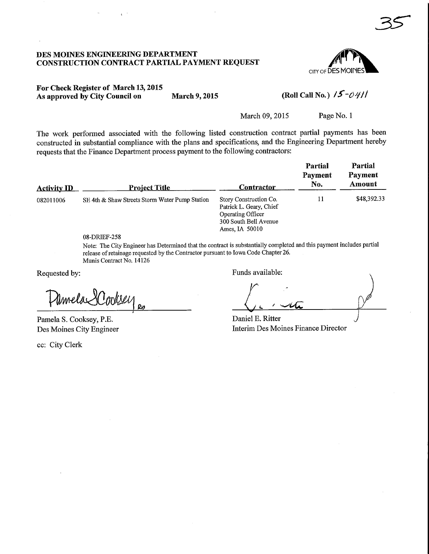#### DES MOINES ENGINEERING DEPARTMENT CONSTRUCTION CONTRACT PARTIAL PAYMENT REQUEST



 $35$ 

## For Check Register of March 13,2015 As approved by City Council on March 9, 2015

# (Roll Call No.)  $15$ -0411

March 09, 2015 Page No. 1

The work performed associated with the following listed construction contract partial payments has been constructed in substantial compliance with the plans and specifications, and the Engineering Department hereby requests that the Finance Department process payment to the following contractors:

| <b>Activity ID</b> | <u>Project Title</u>                           | Contractor                                                                                                               | <b>Partial</b><br>Payment<br>No. | Partial<br>Payment<br>Amount |
|--------------------|------------------------------------------------|--------------------------------------------------------------------------------------------------------------------------|----------------------------------|------------------------------|
| 082011006          | SE 4th & Shaw Streets Storm Water Pump Station | Story Construction Co.<br>Patrick L. Geary, Chief<br><b>Operating Officer</b><br>300 South Bell Avenue<br>Ames, IA 50010 | 11                               | \$48,392.33                  |

08-DRIEF-258 Note: The City Engineer has Determined that the contract is substantially completed and this payment includes partial release of retainage requested by the Contractor pursuant to Iowa Code Chapter 26. Munis Contract No. 14126

Requested by:

Pamela SCookse

Pamela S. Cooksey, P.E. Des Moines City Engineer

ec: City Clerk

Funds available:

 $29$   $\sqrt{2}$   $\sqrt{4}$ 

Daniel E. Ritter Interim Des Moines Finance Director